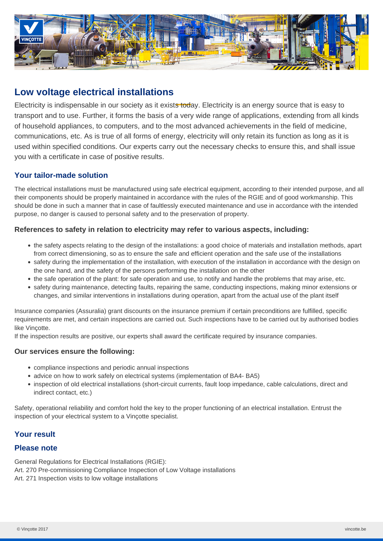

# **Low voltage electrical installations**

Electricity is indispensable in our society as it exists today. Electricity is an energy source that is easy to transport and to use. Further, it forms the basis of a very wide range of applications, extending from all kinds of household appliances, to computers, and to the most advanced achievements in the field of medicine, communications, etc. As is true of all forms of energy, electricity will only retain its function as long as it is used within specified conditions. Our experts carry out the necessary checks to ensure this, and shall issue you with a certificate in case of positive results.

# **Your tailor-made solution**

The electrical installations must be manufactured using safe electrical equipment, according to their intended purpose, and all their components should be properly maintained in accordance with the rules of the RGIE and of good workmanship. This should be done in such a manner that in case of faultlessly executed maintenance and use in accordance with the intended purpose, no danger is caused to personal safety and to the preservation of property.

## **References to safety in relation to electricity may refer to various aspects, including:**

- the safety aspects relating to the design of the installations: a good choice of materials and installation methods, apart from correct dimensioning, so as to ensure the safe and efficient operation and the safe use of the installations
- safety during the implementation of the installation, with execution of the installation in accordance with the design on the one hand, and the safety of the persons performing the installation on the other
- the safe operation of the plant: for safe operation and use, to notify and handle the problems that may arise, etc.
- safety during maintenance, detecting faults, repairing the same, conducting inspections, making minor extensions or changes, and similar interventions in installations during operation, apart from the actual use of the plant itself

Insurance companies (Assuralia) grant discounts on the insurance premium if certain preconditions are fulfilled, specific requirements are met, and certain inspections are carried out. Such inspections have to be carried out by authorised bodies like Vinçotte.

If the inspection results are positive, our experts shall award the certificate required by insurance companies.

## **Our services ensure the following:**

- compliance inspections and periodic annual inspections
- advice on how to work safely on electrical systems (implementation of BA4- BA5)
- inspection of old electrical installations (short-circuit currents, fault loop impedance, cable calculations, direct and indirect contact, etc.)

Safety, operational reliability and comfort hold the key to the proper functioning of an electrical installation. Entrust the inspection of your electrical system to a Vinçotte specialist.

# **Your result**

## **Please note**

General Regulations for Electrical Installations (RGIE): Art. 270 Pre-commissioning Compliance Inspection of Low Voltage installations Art. 271 Inspection visits to low voltage installations